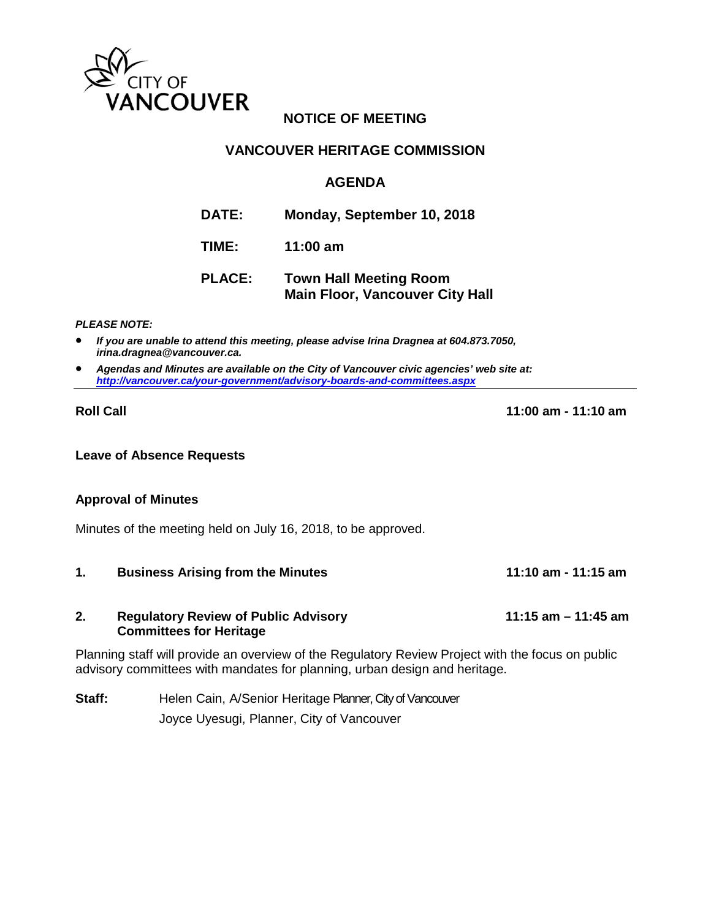

# **NOTICE OF MEETING**

# **VANCOUVER HERITAGE COMMISSION**

# **AGENDA**

| <b>DATE:</b>  | Monday, September 10, 2018    |
|---------------|-------------------------------|
| TIME:         | 11:00 am                      |
| <b>PLACE:</b> | <b>Town Hall Meeting Room</b> |

**Main Floor, Vancouver City Hall**

*PLEASE NOTE:*

- *If you are unable to attend this meeting, please advise Irina Dragnea at 604.873.7050, irina.dragnea@vancouver.ca.*
- *Agendas and Minutes are available on the City of Vancouver civic agencies' web site at: <http://vancouver.ca/your-government/advisory-boards-and-committees.aspx>*

**Roll Call 11:00 am - 11:10 am**

### **Leave of Absence Requests**

### **Approval of Minutes**

Minutes of the meeting held on July 16, 2018, to be approved.

**1. Business Arising from the Minutes 11:10 am - 11:15 am**

### **2. Regulatory Review of Public Advisory 11:15 am – 11:45 am Committees for Heritage**

Planning staff will provide an overview of the Regulatory Review Project with the focus on public advisory committees with mandates for planning, urban design and heritage.

**Staff:** Helen Cain, A/Senior Heritage Planner, City of Vancouver Joyce Uyesugi, Planner, City of Vancouver